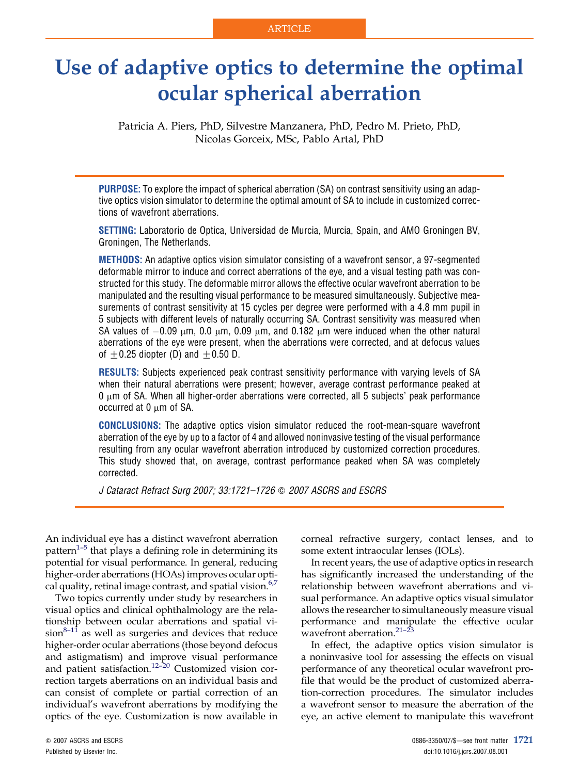# Use of adaptive optics to determine the optimal ocular spherical aberration

Patricia A. Piers, PhD, Silvestre Manzanera, PhD, Pedro M. Prieto, PhD, Nicolas Gorceix, MSc, Pablo Artal, PhD

PURPOSE: To explore the impact of spherical aberration (SA) on contrast sensitivity using an adaptive optics vision simulator to determine the optimal amount of SA to include in customized corrections of wavefront aberrations.

SETTING: Laboratorio de Optica, Universidad de Murcia, Murcia, Spain, and AMO Groningen BV, Groningen, The Netherlands.

METHODS: An adaptive optics vision simulator consisting of a wavefront sensor, a 97-segmented deformable mirror to induce and correct aberrations of the eye, and a visual testing path was constructed for this study. The deformable mirror allows the effective ocular wavefront aberration to be manipulated and the resulting visual performance to be measured simultaneously. Subjective measurements of contrast sensitivity at 15 cycles per degree were performed with a 4.8 mm pupil in 5 subjects with different levels of naturally occurring SA. Contrast sensitivity was measured when SA values of  $-0.09$   $\mu$ m,  $0.0$   $\mu$ m,  $0.09$   $\mu$ m, and  $0.182$   $\mu$ m were induced when the other natural aberrations of the eye were present, when the aberrations were corrected, and at defocus values of  $\pm$  0.25 diopter (D) and  $\pm$  0.50 D.

RESULTS: Subjects experienced peak contrast sensitivity performance with varying levels of SA when their natural aberrations were present; however, average contrast performance peaked at  $0 \mu m$  of SA. When all higher-order aberrations were corrected, all 5 subjects' peak performance occurred at  $0 \mu m$  of SA.

CONCLUSIONS: The adaptive optics vision simulator reduced the root-mean-square wavefront aberration of the eye by up to a factor of 4 and allowed noninvasive testing of the visual performance resulting from any ocular wavefront aberration introduced by customized correction procedures. This study showed that, on average, contrast performance peaked when SA was completely corrected.

J Cataract Refract Surg 2007; 33:1721–1726 Q 2007 ASCRS and ESCRS

An individual eye has a distinct wavefront aberration pattern<sup>1–5</sup> that plays a defining role in determining its potential for visual performance. In general, reducing higher-order aberrations (HOAs) improves ocular optical quality, retinal image contrast, and spatial vision. $6,7$ 

Two topics currently under study by researchers in visual optics and clinical ophthalmology are the relationship between ocular aberrations and spatial vi $sion^{8-11}$  as well as surgeries and devices that reduce higher-order ocular aberrations (those beyond defocus and astigmatism) and improve visual performance and patient satisfaction.<sup>12-20</sup> Customized vision correction targets aberrations on an individual basis and can consist of complete or partial correction of an individual's wavefront aberrations by modifying the optics of the eye. Customization is now available in corneal refractive surgery, contact lenses, and to some extent intraocular lenses (IOLs).

In recent years, the use of adaptive optics in research has significantly increased the understanding of the relationship between wavefront aberrations and visual performance. An adaptive optics visual simulator allows the researcher to simultaneously measure visual performance and manipulate the effective ocular wavefront aberration. $21-23$ 

In effect, the adaptive optics vision simulator is a noninvasive tool for assessing the effects on visual performance of any theoretical ocular wavefront profile that would be the product of customized aberration-correction procedures. The simulator includes a wavefront sensor to measure the aberration of the eye, an active element to manipulate this wavefront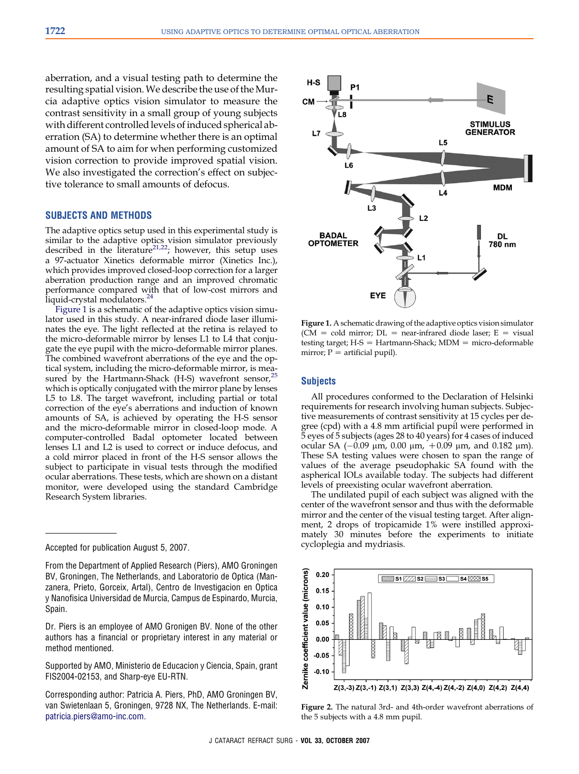<span id="page-1-0"></span>aberration, and a visual testing path to determine the resulting spatial vision.We describe the use of the Murcia adaptive optics vision simulator to measure the contrast sensitivity in a small group of young subjects with different controlled levels of induced spherical aberration (SA) to determine whether there is an optimal amount of SA to aim for when performing customized vision correction to provide improved spatial vision. We also investigated the correction's effect on subjective tolerance to small amounts of defocus.

## SUBJECTS AND METHODS

The adaptive optics setup used in this experimental study is similar to the adaptive optics vision simulator previously described in the literature<sup>[21,22](#page-5-0)</sup>; however, this setup uses a 97-actuator Xinetics deformable mirror (Xinetics Inc.), which provides improved closed-loop correction for a larger aberration production range and an improved chromatic performance compared with that of low-cost mirrors and liquid-crystal modulators.<sup>[24](#page-5-0)</sup>

Figure 1 is a schematic of the adaptive optics vision simulator used in this study. A near-infrared diode laser illuminates the eye. The light reflected at the retina is relayed to the micro-deformable mirror by lenses L1 to L4 that conjugate the eye pupil with the micro-deformable mirror planes. The combined wavefront aberrations of the eye and the optical system, including the micro-deformable mirror, is measured by the Hartmann-Shack (H-S) wavefront sensor, $^{25}$  $^{25}$  $^{25}$ which is optically conjugated with the mirror plane by lenses L5 to L8. The target wavefront, including partial or total correction of the eye's aberrations and induction of known amounts of SA, is achieved by operating the H-S sensor and the micro-deformable mirror in closed-loop mode. A computer-controlled Badal optometer located between lenses L1 and L2 is used to correct or induce defocus, and a cold mirror placed in front of the H-S sensor allows the subject to participate in visual tests through the modified ocular aberrations. These tests, which are shown on a distant monitor, were developed using the standard Cambridge Research System libraries.

Dr. Piers is an employee of AMO Gronigen BV. None of the other authors has a financial or proprietary interest in any material or method mentioned.

Supported by AMO, Ministerio de Educacion y Ciencia, Spain, grant FIS2004-02153, and Sharp-eye EU-RTN.

Corresponding author: Patricia A. Piers, PhD, AMO Groningen BV, van Swietenlaan 5, Groningen, 9728 NX, The Netherlands. E-mail: [patricia.piers@amo-inc.com.](mailto:patricia.piers@amo-inc.com)



Figure 1. A schematic drawing of the adaptive optics vision simulator (CM = cold mirror;  $DL$  = near-infrared diode laser; E = visual testing target;  $H-S = Hartmann-Shack$ ; MDM = micro-deformable mirror;  $P =$  artificial pupil).

### **Subjects**

All procedures conformed to the Declaration of Helsinki requirements for research involving human subjects. Subjective measurements of contrast sensitivity at 15 cycles per degree (cpd) with a 4.8 mm artificial pupil were performed in 5 eyes of 5 subjects (ages 28 to 40 years) for 4 cases of induced ocular SA (–0.09 μm, 0.00 μm, +0.09 μm, and 0.182 μm). These SA testing values were chosen to span the range of values of the average pseudophakic SA found with the aspherical IOLs available today. The subjects had different levels of preexisting ocular wavefront aberration.

The undilated pupil of each subject was aligned with the center of the wavefront sensor and thus with the deformable mirror and the center of the visual testing target. After alignment, 2 drops of tropicamide 1% were instilled approximately 30 minutes before the experiments to initiate cycloplegia and mydriasis.



Figure 2. The natural 3rd- and 4th-order wavefront aberrations of the 5 subjects with a 4.8 mm pupil.

Accepted for publication August 5, 2007.

From the Department of Applied Research (Piers), AMO Groningen BV, Groningen, The Netherlands, and Laboratorio de Optica (Manzanera, Prieto, Gorceix, Artal), Centro de Investigacion en Optica y Nanofisica Universidad de Murcia, Campus de Espinardo, Murcia, Spain.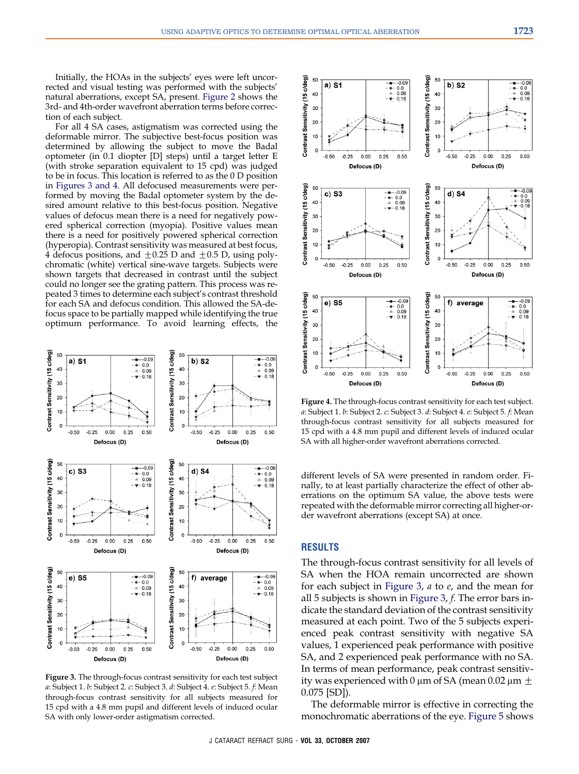<span id="page-2-0"></span>Initially, the HOAs in the subjects' eyes were left uncorrected and visual testing was performed with the subjects' natural aberrations, except SA, present. [Figure 2](#page-1-0) shows the 3rd- and 4th-order wavefront aberration terms before correction of each subject.

For all 4 SA cases, astigmatism was corrected using the deformable mirror. The subjective best-focus position was determined by allowing the subject to move the Badal optometer (in 0.1 diopter [D] steps) until a target letter E (with stroke separation equivalent to 15 cpd) was judged to be in focus. This location is referred to as the 0 D position in Figures 3 and 4. All defocused measurements were performed by moving the Badal optometer system by the desired amount relative to this best-focus position. Negative values of defocus mean there is a need for negatively powered spherical correction (myopia). Positive values mean there is a need for positively powered spherical correction (hyperopia). Contrast sensitivity was measured at best focus, 4 defocus positions, and  $\pm 0.25$  D and  $\pm 0.5$  D, using polychromatic (white) vertical sine-wave targets. Subjects were shown targets that decreased in contrast until the subject could no longer see the grating pattern. This process was repeated 3 times to determine each subject's contrast threshold for each SA and defocus condition. This allowed the SA-defocus space to be partially mapped while identifying the true optimum performance. To avoid learning effects, the



Figure 3. The through-focus contrast sensitivity for each test subject a: Subject 1. b: Subject 2. c: Subject 3. d: Subject 4. e: Subject 5. f: Mean through-focus contrast sensitivity for all subjects measured for 15 cpd with a 4.8 mm pupil and different levels of induced ocular SA with only lower-order astigmatism corrected.



Figure 4. The through-focus contrast sensitivity for each test subject. a: Subject 1. b: Subject 2. c: Subject 3. d: Subject 4. e: Subject 5. f: Mean through-focus contrast sensitivity for all subjects measured for 15 cpd with a 4.8 mm pupil and different levels of induced ocular SA with all higher-order wavefront aberrations corrected.

different levels of SA were presented in random order. Finally, to at least partially characterize the effect of other aberrations on the optimum SA value, the above tests were repeated with the deformable mirror correcting all higher-order wavefront aberrations (except SA) at once.

## RESULTS

The through-focus contrast sensitivity for all levels of SA when the HOA remain uncorrected are shown for each subject in Figure 3,  $a$  to  $e$ , and the mean for all 5 subjects is shown in Figure 3, f. The error bars indicate the standard deviation of the contrast sensitivity measured at each point. Two of the 5 subjects experienced peak contrast sensitivity with negative SA values, 1 experienced peak performance with positive SA, and 2 experienced peak performance with no SA. In terms of mean performance, peak contrast sensitivity was experienced with 0  $\mu$ m of SA (mean 0.02  $\mu$ m  $\pm$ 0.075 [SD]).

The deformable mirror is effective in correcting the monochromatic aberrations of the eye. [Figure 5](#page-3-0) shows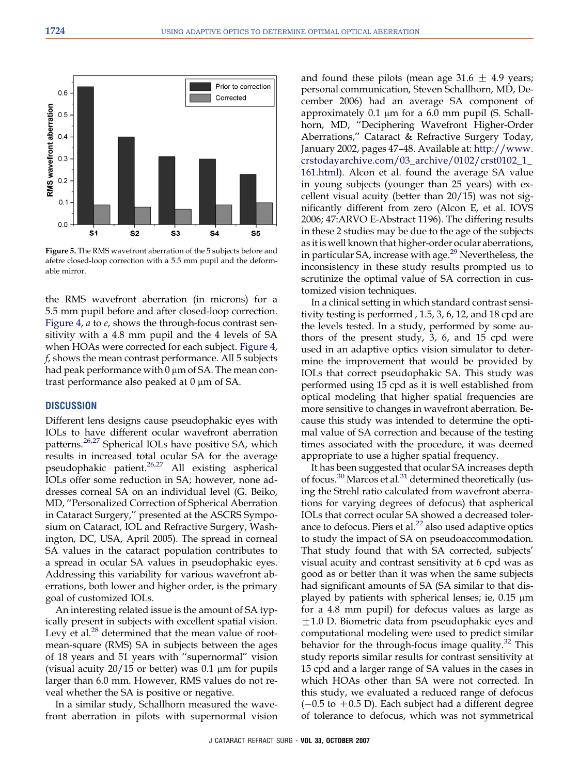<span id="page-3-0"></span>

Figure 5. The RMS wavefront aberration of the 5 subjects before and afetre closed-loop correction with a 5.5 mm pupil and the deformable mirror.

the RMS wavefront aberration (in microns) for a 5.5 mm pupil before and after closed-loop correction. [Figure 4,](#page-2-0) a to e, shows the through-focus contrast sensitivity with a 4.8 mm pupil and the 4 levels of SA when HOAs were corrected for each subject. [Figure 4](#page-2-0), f, shows the mean contrast performance. All 5 subjects had peak performance with  $0 \mu$ m of SA. The mean contrast performance also peaked at  $0 \mu m$  of SA.

### **DISCUSSION**

Different lens designs cause pseudophakic eyes with IOLs to have different ocular wavefront aberration patterns.[26,27](#page-5-0) Spherical IOLs have positive SA, which results in increased total ocular SA for the average pseudophakic patient.<sup>[26,27](#page-5-0)</sup> All existing aspherical IOLs offer some reduction in SA; however, none addresses corneal SA on an individual level (G. Beiko, MD, ''Personalized Correction of Spherical Aberration in Cataract Surgery,'' presented at the ASCRS Symposium on Cataract, IOL and Refractive Surgery, Washington, DC, USA, April 2005). The spread in corneal SA values in the cataract population contributes to a spread in ocular SA values in pseudophakic eyes. Addressing this variability for various wavefront aberrations, both lower and higher order, is the primary goal of customized IOLs.

An interesting related issue is the amount of SA typically present in subjects with excellent spatial vision. Levy et al. $^{28}$  $^{28}$  $^{28}$  determined that the mean value of rootmean-square (RMS) SA in subjects between the ages of 18 years and 51 years with ''supernormal'' vision (visual acuity  $20/15$  or better) was  $0.1 \mu m$  for pupils larger than 6.0 mm. However, RMS values do not reveal whether the SA is positive or negative.

In a similar study, Schallhorn measured the wavefront aberration in pilots with supernormal vision and found these pilots (mean age  $31.6 \pm 4.9$  years; personal communication, Steven Schallhorn, MD, December 2006) had an average SA component of approximately 0.1 µm for a 6.0 mm pupil (S. Schallhorn, MD, ''Deciphering Wavefront Higher-Order Aberrations,'' Cataract & Refractive Surgery Today, January 2002, pages 47–48. Available at: [http://www.](http://www.crstodayarchive.com/03_archive/0102/crst0102_1_161.html) [crstodayarchive.com/03\\_archive/0102/crst0102\\_1\\_](http://www.crstodayarchive.com/03_archive/0102/crst0102_1_161.html) [161.html](http://www.crstodayarchive.com/03_archive/0102/crst0102_1_161.html)). Alcon et al. found the average SA value in young subjects (younger than 25 years) with excellent visual acuity (better than 20/15) was not significantly different from zero (Alcon E, et al. IOVS 2006; 47:ARVO E-Abstract 1196). The differing results in these 2 studies may be due to the age of the subjects as it is well known that higher-order ocular aberrations, in particular SA, increase with age.<sup>[29](#page-5-0)</sup> Nevertheless, the inconsistency in these study results prompted us to scrutinize the optimal value of SA correction in customized vision techniques.

In a clinical setting in which standard contrast sensitivity testing is performed , 1.5, 3, 6, 12, and 18 cpd are the levels tested. In a study, performed by some authors of the present study, 3, 6, and 15 cpd were used in an adaptive optics vision simulator to determine the improvement that would be provided by IOLs that correct pseudophakic SA. This study was performed using 15 cpd as it is well established from optical modeling that higher spatial frequencies are more sensitive to changes in wavefront aberration. Because this study was intended to determine the optimal value of SA correction and because of the testing times associated with the procedure, it was deemed appropriate to use a higher spatial frequency.

It has been suggested that ocular SA increases depth of focus.<sup>[30](#page-5-0)</sup> Marcos et al.<sup>[31](#page-5-0)</sup> determined theoretically (using the Strehl ratio calculated from wavefront aberrations for varying degrees of defocus) that aspherical IOLs that correct ocular SA showed a decreased tolerance to defocus. Piers et al.<sup>22</sup> also used adaptive optics to study the impact of SA on pseudoaccommodation. That study found that with SA corrected, subjects' visual acuity and contrast sensitivity at 6 cpd was as good as or better than it was when the same subjects had significant amounts of SA (SA similar to that displayed by patients with spherical lenses; ie,  $0.15 \mu m$ for a 4.8 mm pupil) for defocus values as large as  $\pm$ 1.0 D. Biometric data from pseudophakic eyes and computational modeling were used to predict similar behavior for the through-focus image quality. $32$  This study reports similar results for contrast sensitivity at 15 cpd and a larger range of SA values in the cases in which HOAs other than SA were not corrected. In this study, we evaluated a reduced range of defocus  $(-0.5$  to  $+0.5$  D). Each subject had a different degree of tolerance to defocus, which was not symmetrical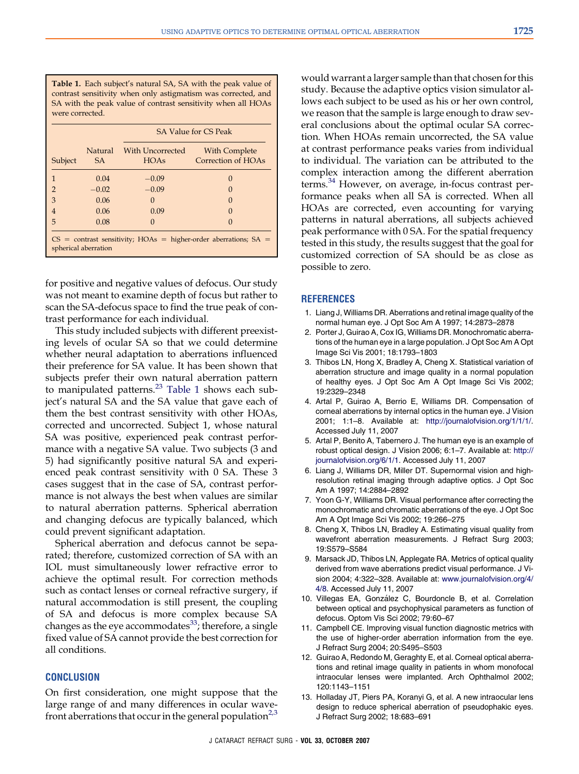<span id="page-4-0"></span>Table 1. Each subject's natural SA, SA with the peak value of contrast sensitivity when only astigmatism was corrected, and SA with the peak value of contrast sensitivity when all HOAs were corrected.

|                                                                                            | Natural | With Uncorrected | With Complete      |
|--------------------------------------------------------------------------------------------|---------|------------------|--------------------|
| Subject                                                                                    | SA.     | <b>HOAs</b>      | Correction of HOAs |
| $\mathbf{1}$                                                                               | 0.04    | $-0.09$          | $\Omega$           |
| $\overline{2}$                                                                             | $-0.02$ | $-0.09$          | $\Omega$           |
| 3                                                                                          | 0.06    | $\mathbf{0}$     | $\Omega$           |
| $\overline{4}$                                                                             | 0.06    | 0.09             | $\Omega$           |
| 5                                                                                          | 0.08    | $\Omega$         | $\Omega$           |
| $CS =$ contrast sensitivity; HOAs = higher-order aberrations; SA =<br>spherical aberration |         |                  |                    |

for positive and negative values of defocus. Our study was not meant to examine depth of focus but rather to scan the SA-defocus space to find the true peak of contrast performance for each individual.

This study included subjects with different preexisting levels of ocular SA so that we could determine whether neural adaptation to aberrations influenced their preference for SA value. It has been shown that subjects prefer their own natural aberration pattern to manipulated patterns. $^{23}$  $^{23}$  $^{23}$  Table 1 shows each subject's natural SA and the SA value that gave each of them the best contrast sensitivity with other HOAs, corrected and uncorrected. Subject 1, whose natural SA was positive, experienced peak contrast performance with a negative SA value. Two subjects (3 and 5) had significantly positive natural SA and experienced peak contrast sensitivity with 0 SA. These 3 cases suggest that in the case of SA, contrast performance is not always the best when values are similar to natural aberration patterns. Spherical aberration and changing defocus are typically balanced, which could prevent significant adaptation.

Spherical aberration and defocus cannot be separated; therefore, customized correction of SA with an IOL must simultaneously lower refractive error to achieve the optimal result. For correction methods such as contact lenses or corneal refractive surgery, if natural accommodation is still present, the coupling of SA and defocus is more complex because SA changes as the eye accommodates<sup>[33](#page-5-0)</sup>; therefore, a single fixed value of SA cannot provide the best correction for all conditions.

## **CONCLUSION**

On first consideration, one might suppose that the large range of and many differences in ocular wavefront aberrations that occur in the general population<sup>2,3</sup> would warrant a larger sample than that chosen for this study. Because the adaptive optics vision simulator allows each subject to be used as his or her own control, we reason that the sample is large enough to draw several conclusions about the optimal ocular SA correction. When HOAs remain uncorrected, the SA value at contrast performance peaks varies from individual to individual. The variation can be attributed to the complex interaction among the different aberration terms.<sup>[34](#page-5-0)</sup> However, on average, in-focus contrast performance peaks when all SA is corrected. When all HOAs are corrected, even accounting for varying patterns in natural aberrations, all subjects achieved peak performance with 0 SA. For the spatial frequency tested in this study, the results suggest that the goal for customized correction of SA should be as close as possible to zero.

#### **REFERENCES**

- 1. Liang J, Williams DR. Aberrations and retinal image quality of the normal human eye. J Opt Soc Am A 1997; 14:2873–2878
- 2. Porter J, Guirao A, Cox IG, Williams DR. Monochromatic aberrations of the human eye in a large population. J Opt Soc Am A Opt Image Sci Vis 2001; 18:1793–1803
- 3. Thibos LN, Hong X, Bradley A, Cheng X. Statistical variation of aberration structure and image quality in a normal population of healthy eyes. J Opt Soc Am A Opt Image Sci Vis 2002; 19:2329–2348
- 4. Artal P, Guirao A, Berrio E, Williams DR. Compensation of corneal aberrations by internal optics in the human eye. J Vision 2001; 1:1–8. Available at: [http://journalofvision.org/1/1/1/.](http://journalofvision.org/1/1/1/) Accessed July 11, 2007
- 5. Artal P, Benito A, Tabernero J. The human eye is an example of robust optical design. J Vision 2006; 6:1–7. Available at: [http://](http://journalofvision.org/6/1/1/) [journalofvision.org/6/1/1.](http://journalofvision.org/6/1/1/) Accessed July 11, 2007
- 6. Liang J, Williams DR, Miller DT. Supernormal vision and highresolution retinal imaging through adaptive optics. J Opt Soc Am A 1997; 14:2884–2892
- 7. Yoon G-Y, Williams DR. Visual performance after correcting the monochromatic and chromatic aberrations of the eye. J Opt Soc Am A Opt Image Sci Vis 2002; 19:266–275
- 8. Cheng X, Thibos LN, Bradley A. Estimating visual quality from wavefront aberration measurements. J Refract Surg 2003; 19:S579–S584
- 9. Marsack JD, Thibos LN, Applegate RA. Metrics of optical quality derived from wave aberrations predict visual performance. J Vision 2004; 4:322–328. Available at: [www.journalofvision.org/4/](http://www.journalofvision.org/4/4/8) [4/8.](http://www.journalofvision.org/4/4/8) Accessed July 11, 2007
- 10. Villegas EA, González C, Bourdoncle B, et al. Correlation between optical and psychophysical parameters as function of defocus. Optom Vis Sci 2002; 79:60–67
- 11. Campbell CE. Improving visual function diagnostic metrics with the use of higher-order aberration information from the eye. J Refract Surg 2004; 20:S495–S503
- 12. Guirao A, Redondo M, Geraghty E, et al. Corneal optical aberrations and retinal image quality in patients in whom monofocal intraocular lenses were implanted. Arch Ophthalmol 2002; 120:1143–1151
- 13. Holladay JT, Piers PA, Koranyi G, et al. A new intraocular lens design to reduce spherical aberration of pseudophakic eyes. J Refract Surg 2002; 18:683–691